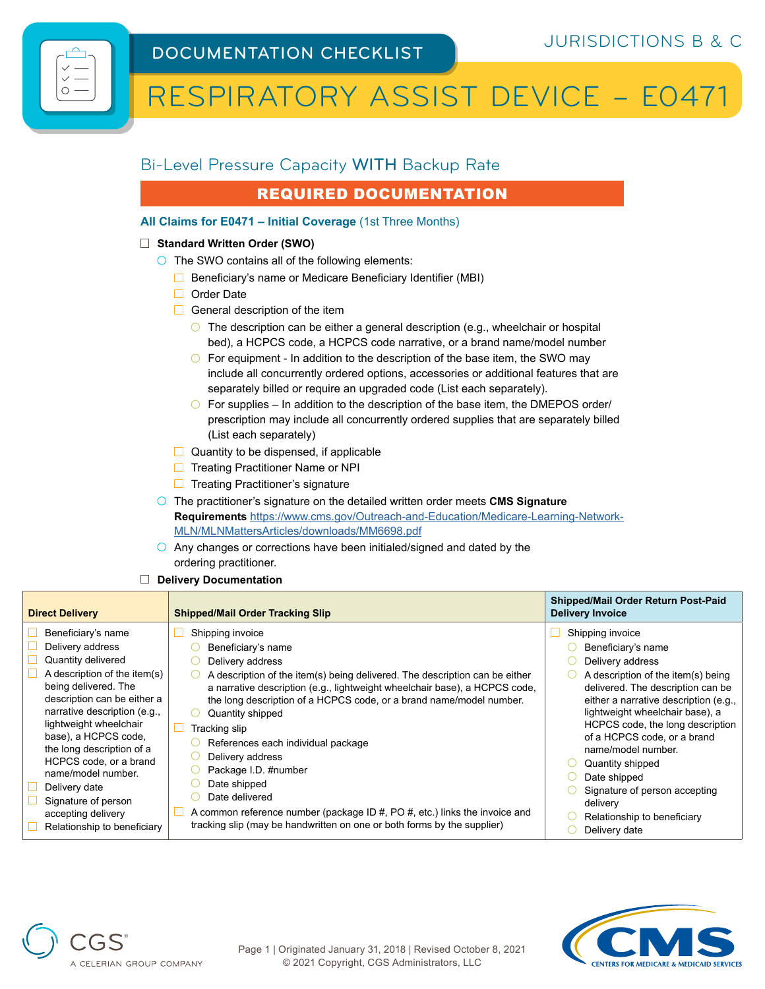# RESPIRATORY ASSIST DEVICE – E0471

## Bi-Level Pressure Capacity WITH Backup Rate

## REQUIRED DOCUMENTATION

## **All Claims for E0471 – Initial Coverage** (1st Three Months)

### **Standard Written Order (SWO)**

- $\bigcirc$  The SWO contains all of the following elements:
	- $\Box$  Beneficiary's name or Medicare Beneficiary Identifier (MBI)
	- □ Order Date
	- $\Box$  General description of the item
		- $\bigcirc$  The description can be either a general description (e.g., wheelchair or hospital bed), a HCPCS code, a HCPCS code narrative, or a brand name/model number
		- $\circ$  For equipment In addition to the description of the base item, the SWO may include all concurrently ordered options, accessories or additional features that are separately billed or require an upgraded code (List each separately).
		- $\bigcirc$  For supplies In addition to the description of the base item, the DMEPOS order/ prescription may include all concurrently ordered supplies that are separately billed (List each separately)
	- $\Box$  Quantity to be dispensed, if applicable
	- **□** Treating Practitioner Name or NPI
	- $\Box$  Treating Practitioner's signature
- The practitioner's signature on the detailed written order meets **CMS Signature Requirements** [https://www.cms.gov/Outreach-and-Education/Medicare-Learning-Network-](https://www.cms.gov/Outreach-and-Education/Medicare-Learning-Network-MLN/MLNMattersArticles/downloads/MM6698.pdf)[MLN/MLNMattersArticles/downloads/MM6698.pdf](https://www.cms.gov/Outreach-and-Education/Medicare-Learning-Network-MLN/MLNMattersArticles/downloads/MM6698.pdf)
- $\overline{O}$  Any changes or corrections have been initialed/signed and dated by the ordering practitioner.
- **Delivery Documentation**

A CELERIAN GROUP COMPANY

| Beneficiary's name<br>Shipping invoice<br>Shipping invoice<br>Delivery address<br>Beneficiary's name<br>Beneficiary's name<br>Quantity delivered<br>Delivery address<br>Delivery address<br>A description of the item(s)<br>A description of the item(s) being delivered. The description can be either<br>being delivered. The<br>a narrative description (e.g., lightweight wheelchair base), a HCPCS code,<br>description can be either a<br>the long description of a HCPCS code, or a brand name/model number.<br>narrative description (e.g.,<br>Quantity shipped<br>lightweight wheelchair<br>Tracking slip<br>base), a HCPCS code,<br>of a HCPCS code, or a brand<br>References each individual package<br>the long description of a<br>name/model number.<br>Delivery address<br>HCPCS code, or a brand<br>Quantity shipped<br>Package I.D. #number<br>name/model number.<br>Date shipped<br>Date shipped<br>Delivery date<br>Signature of person accepting | <b>Direct Delivery</b> | <b>Shipped/Mail Order Tracking Slip</b> | Shipped/Mail Order Return Post-Paid<br><b>Delivery Invoice</b>                                                                                                                          |
|----------------------------------------------------------------------------------------------------------------------------------------------------------------------------------------------------------------------------------------------------------------------------------------------------------------------------------------------------------------------------------------------------------------------------------------------------------------------------------------------------------------------------------------------------------------------------------------------------------------------------------------------------------------------------------------------------------------------------------------------------------------------------------------------------------------------------------------------------------------------------------------------------------------------------------------------------------------------|------------------------|-----------------------------------------|-----------------------------------------------------------------------------------------------------------------------------------------------------------------------------------------|
| Signature of person<br>delivery<br>A common reference number (package ID $#$ , PO $#$ , etc.) links the invoice and<br>accepting delivery<br>Relationship to beneficiary<br>tracking slip (may be handwritten on one or both forms by the supplier)<br>Relationship to beneficiary<br>Delivery date                                                                                                                                                                                                                                                                                                                                                                                                                                                                                                                                                                                                                                                                  |                        | Date delivered                          | A description of the item(s) being<br>delivered. The description can be<br>either a narrative description (e.g.,<br>lightweight wheelchair base), a<br>HCPCS code, the long description |



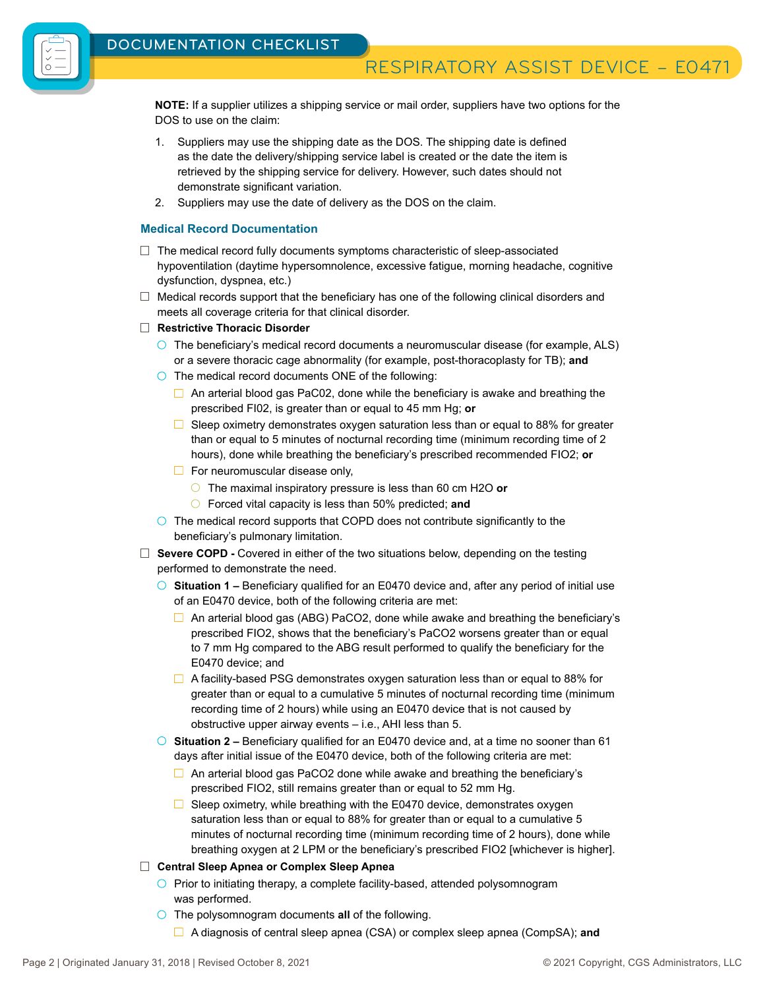

RESPIRATORY ASSIST DEVICE - E0471

**NOTE:** If a supplier utilizes a shipping service or mail order, suppliers have two options for the DOS to use on the claim:

- 1. Suppliers may use the shipping date as the DOS. The shipping date is defined as the date the delivery/shipping service label is created or the date the item is retrieved by the shipping service for delivery. However, such dates should not demonstrate significant variation.
- 2. Suppliers may use the date of delivery as the DOS on the claim.

#### **Medical Record Documentation**

- $\Box$  The medical record fully documents symptoms characteristic of sleep-associated hypoventilation (daytime hypersomnolence, excessive fatigue, morning headache, cognitive dysfunction, dyspnea, etc.)
- $\Box$  Medical records support that the beneficiary has one of the following clinical disorders and meets all coverage criteria for that clinical disorder.
- **Restrictive Thoracic Disorder** 
	- $\circ$  The beneficiary's medical record documents a neuromuscular disease (for example, ALS) or a severe thoracic cage abnormality (for example, post-thoracoplasty for TB); **and**
	- $\bigcirc$  The medical record documents ONE of the following:
		- $\Box$  An arterial blood gas PaC02, done while the beneficiary is awake and breathing the prescribed FI02, is greater than or equal to 45 mm Hg; **or**
		- $\Box$  Sleep oximetry demonstrates oxygen saturation less than or equal to 88% for greater than or equal to 5 minutes of nocturnal recording time (minimum recording time of 2 hours), done while breathing the beneficiary's prescribed recommended FIO2; **or**
		- $\Box$  For neuromuscular disease only,
			- The maximal inspiratory pressure is less than 60 cm H2O **or**
			- Forced vital capacity is less than 50% predicted; **and**
	- $\circ$  The medical record supports that COPD does not contribute significantly to the beneficiary's pulmonary limitation.
- □ **Severe COPD -** Covered in either of the two situations below, depending on the testing performed to demonstrate the need.
	- **Situation 1 –** Beneficiary qualified for an E0470 device and, after any period of initial use of an E0470 device, both of the following criteria are met:
		- $\Box$  An arterial blood gas (ABG) PaCO2, done while awake and breathing the beneficiary's prescribed FIO2, shows that the beneficiary's PaCO2 worsens greater than or equal to 7 mm Hg compared to the ABG result performed to qualify the beneficiary for the E0470 device; and
		- $\Box$  A facility-based PSG demonstrates oxygen saturation less than or equal to 88% for greater than or equal to a cumulative 5 minutes of nocturnal recording time (minimum recording time of 2 hours) while using an E0470 device that is not caused by obstructive upper airway events – i.e., AHI less than 5.
	- **Situation 2 –** Beneficiary qualified for an E0470 device and, at a time no sooner than 61 days after initial issue of the E0470 device, both of the following criteria are met:
		- $\Box$  An arterial blood gas PaCO2 done while awake and breathing the beneficiary's prescribed FIO2, still remains greater than or equal to 52 mm Hg.
		- $\Box$  Sleep oximetry, while breathing with the E0470 device, demonstrates oxygen saturation less than or equal to 88% for greater than or equal to a cumulative 5 minutes of nocturnal recording time (minimum recording time of 2 hours), done while breathing oxygen at 2 LPM or the beneficiary's prescribed FIO2 [whichever is higher].
- **Central Sleep Apnea or Complex Sleep Apnea** 
	- $\bigcirc$  Prior to initiating therapy, a complete facility-based, attended polysomnogram was performed.
	- The polysomnogram documents **all** of the following.
		- A diagnosis of central sleep apnea (CSA) or complex sleep apnea (CompSA); **and**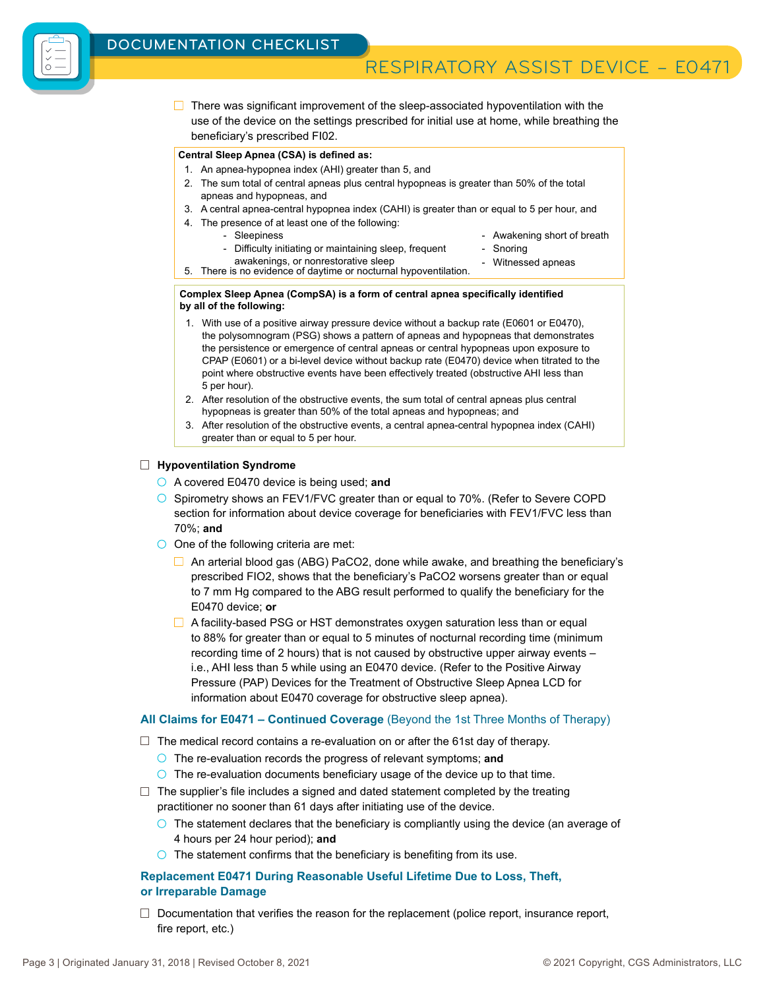

## RESPIRATORY ASSIST DEVICE - E0471

 $\Box$  There was significant improvement of the sleep-associated hypoventilation with the use of the device on the settings prescribed for initial use at home, while breathing the beneficiary's prescribed FI02.

#### **Central Sleep Apnea (CSA) is defined as:**

- 1. An apnea-hypopnea index (AHI) greater than 5, and
- 2. The sum total of central apneas plus central hypopneas is greater than 50% of the total apneas and hypopneas, and
- 3. A central apnea-central hypopnea index (CAHI) is greater than or equal to 5 per hour, and
- 4. The presence of at least one of the following:
	- Sleepiness - Difficulty initiating or maintaining sleep, frequent
- Awakening short of breath
- **Snoring**
- 
- awakenings, or nonrestorative sleep awakenings, or nonrestorative sleep<br>5. There is no evidence of daytime or nocturnal hypoventilation.

#### **Complex Sleep Apnea (CompSA) is a form of central apnea specifically identified by all of the following:**

- 1. With use of a positive airway pressure device without a backup rate (E0601 or E0470), the polysomnogram (PSG) shows a pattern of apneas and hypopneas that demonstrates the persistence or emergence of central apneas or central hypopneas upon exposure to CPAP (E0601) or a bi-level device without backup rate (E0470) device when titrated to the point where obstructive events have been effectively treated (obstructive AHI less than 5 per hour).
- 2. After resolution of the obstructive events, the sum total of central apneas plus central hypopneas is greater than 50% of the total apneas and hypopneas; and
- 3. After resolution of the obstructive events, a central apnea-central hypopnea index (CAHI) greater than or equal to 5 per hour.

#### **Hypoventilation Syndrome**

- A covered E0470 device is being used; **and**
- $\circ$  Spirometry shows an FEV1/FVC greater than or equal to 70%. (Refer to Severe COPD section for information about device coverage for beneficiaries with FEV1/FVC less than 70%; **and**
- $\bigcirc$  One of the following criteria are met:
	- $\Box$  An arterial blood gas (ABG) PaCO2, done while awake, and breathing the beneficiary's prescribed FIO2, shows that the beneficiary's PaCO2 worsens greater than or equal to 7 mm Hg compared to the ABG result performed to qualify the beneficiary for the E0470 device; **or**
	- $\Box$  A facility-based PSG or HST demonstrates oxygen saturation less than or equal to 88% for greater than or equal to 5 minutes of nocturnal recording time (minimum recording time of 2 hours) that is not caused by obstructive upper airway events – i.e., AHI less than 5 while using an E0470 device. (Refer to the Positive Airway Pressure (PAP) Devices for the Treatment of Obstructive Sleep Apnea LCD for information about E0470 coverage for obstructive sleep apnea).

### **All Claims for E0471 – Continued Coverage** (Beyond the 1st Three Months of Therapy)

- $\Box$  The medical record contains a re-evaluation on or after the 61st day of therapy.
	- The re-evaluation records the progress of relevant symptoms; **and**
	- $\overline{O}$  The re-evaluation documents beneficiary usage of the device up to that time.
- $\Box$  The supplier's file includes a signed and dated statement completed by the treating practitioner no sooner than 61 days after initiating use of the device.
	- $\circ$  The statement declares that the beneficiary is compliantly using the device (an average of 4 hours per 24 hour period); **and**
	- $\overline{O}$  The statement confirms that the beneficiary is benefiting from its use.

### **Replacement E0471 During Reasonable Useful Lifetime Due to Loss, Theft, or Irreparable Damage**

 $\Box$  Documentation that verifies the reason for the replacement (police report, insurance report, fire report, etc.)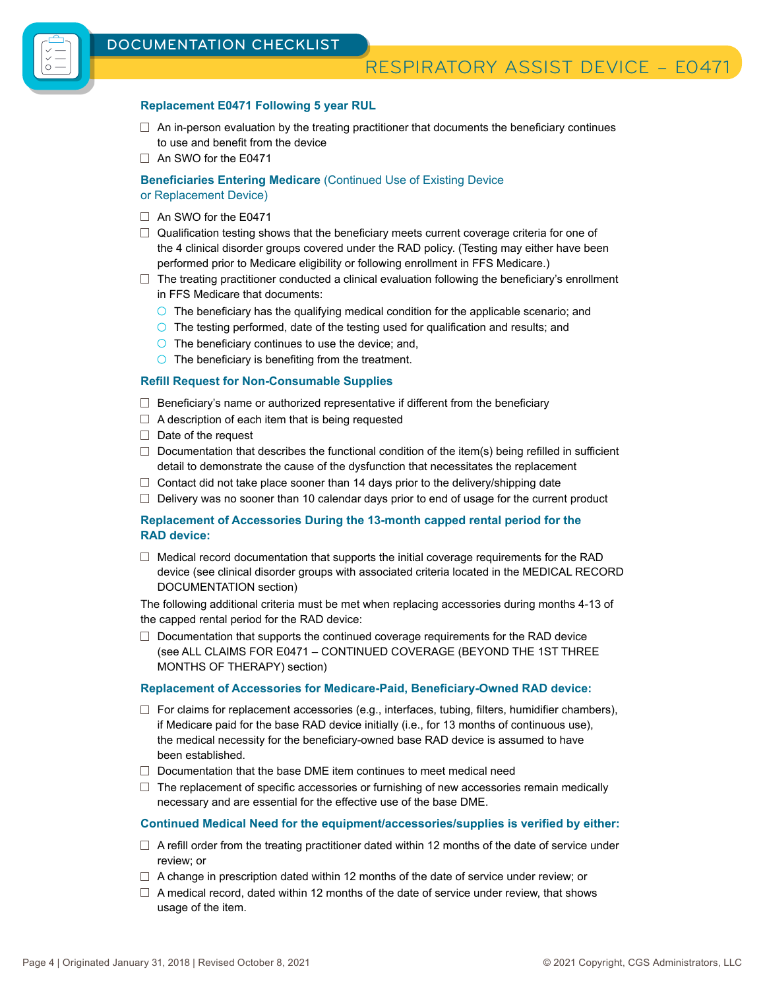## RESPIRATORY ASSIST DEVICE – E0471

#### **Replacement E0471 Following 5 year RUL**

- $\Box$  An in-person evaluation by the treating practitioner that documents the beneficiary continues to use and benefit from the device
- □ An SWO for the E0471

**Beneficiaries Entering Medicare** (Continued Use of Existing Device or Replacement Device)

- $\Box$  An SWO for the E0471
- $\Box$  Qualification testing shows that the beneficiary meets current coverage criteria for one of the 4 clinical disorder groups covered under the RAD policy. (Testing may either have been performed prior to Medicare eligibility or following enrollment in FFS Medicare.)
- $\Box$  The treating practitioner conducted a clinical evaluation following the beneficiary's enrollment in FFS Medicare that documents:
	- $\circ$  The beneficiary has the qualifying medical condition for the applicable scenario; and
	- The testing performed, date of the testing used for qualification and results; and
	- $\circ$  The beneficiary continues to use the device; and,
	- $\circ$  The beneficiary is benefiting from the treatment.

#### **Refill Request for Non-Consumable Supplies**

- $\Box$  Beneficiary's name or authorized representative if different from the beneficiary
- $\Box$  A description of each item that is being requested
- $\Box$  Date of the request
- $\Box$  Documentation that describes the functional condition of the item(s) being refilled in sufficient detail to demonstrate the cause of the dysfunction that necessitates the replacement
- $\Box$  Contact did not take place sooner than 14 days prior to the delivery/shipping date
- $\Box$  Delivery was no sooner than 10 calendar days prior to end of usage for the current product

#### **Replacement of Accessories During the 13-month capped rental period for the RAD device:**

 $\Box$  Medical record documentation that supports the initial coverage requirements for the RAD device (see clinical disorder groups with associated criteria located in the MEDICAL RECORD DOCUMENTATION section)

The following additional criteria must be met when replacing accessories during months 4-13 of the capped rental period for the RAD device:

 $\Box$  Documentation that supports the continued coverage requirements for the RAD device (see ALL CLAIMS FOR E0471 – CONTINUED COVERAGE (BEYOND THE 1ST THREE MONTHS OF THERAPY) section)

#### **Replacement of Accessories for Medicare-Paid, Beneficiary-Owned RAD device:**

- $\Box$  For claims for replacement accessories (e.g., interfaces, tubing, filters, humidifier chambers), if Medicare paid for the base RAD device initially (i.e., for 13 months of continuous use), the medical necessity for the beneficiary-owned base RAD device is assumed to have been established.
- $\Box$  Documentation that the base DME item continues to meet medical need
- $\Box$  The replacement of specific accessories or furnishing of new accessories remain medically necessary and are essential for the effective use of the base DME.

#### **Continued Medical Need for the equipment/accessories/supplies is verified by either:**

- $\Box$  A refill order from the treating practitioner dated within 12 months of the date of service under review; or
- $\Box$  A change in prescription dated within 12 months of the date of service under review; or
- $\Box$  A medical record, dated within 12 months of the date of service under review, that shows usage of the item.